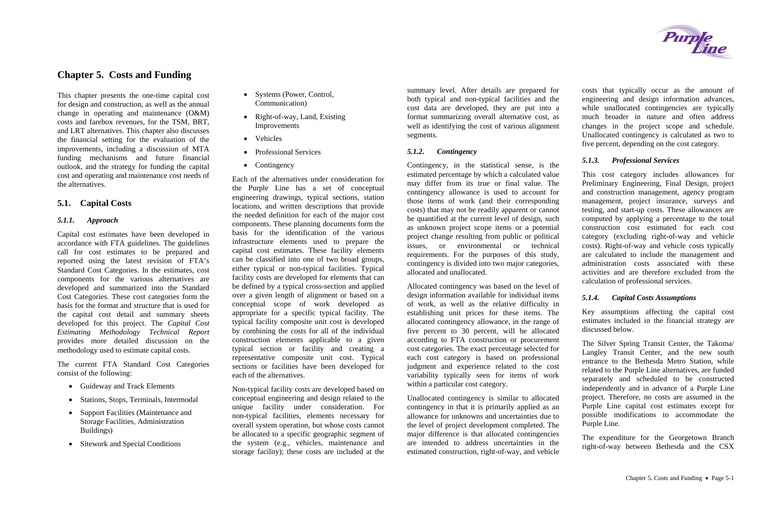# **Chapter 5. Costs and Funding**

This chapter presents the one-time capital cost for design and construction, as well as the annual change in operating and maintenance (O&M) costs and farebox revenues, for the TSM, BRT, and LRT alternatives. This chapter also discusses the financial setting for the evaluation of the improvements, including a discussion of MTA funding mechanisms and future financial outlook, and the strategy for funding the capital cost and operating and maintenance cost needs of the alternatives.

# **5.1. Capital Costs**

### *5.1.1. Approach*

- Guideway and Track Elements
- Stations, Stops, Terminals, Intermodal
- Support Facilities (Maintenance and Storage Facilities, Administration Buildings)
- Sitework and Special Conditions
- Systems (Power, Control, Communication)
- Right-of-way, Land, Existing Improvements
- Vehicles
- Professional Services
- Contingency

Capital cost estimates have been developed in accordance with FTA guidelines. The guidelines call for cost estimates to be prepared and reported using the latest revision of FTA's Standard Cost Categories. In the estimates, cost components for the various alternatives are developed and summarized into the Standard Cost Categories. These cost categories form the basis for the format and structure that is used for the capital cost detail and summary sheets developed for this project. The *Capital Cost Estimating Methodology Technical Report* provides more detailed discussion on the methodology used to estimate capital costs.

The current FTA Standard Cost Categories consist of the following:

Each of the alternatives under consideration for the Purple Line has a set of conceptual engineering drawings, typical sections, station locations, and written descriptions that provide the needed definition for each of the major cost components. These planning documents form the basis for the identification of the various infrastructure elements used to prepare the capital cost estimates. These facility elements can be classified into one of two broad groups, either typical or non-typical facilities. Typical facility costs are developed for elements that can be defined by a typical cross-section and applied over a given length of alignment or based on a conceptual scope of work developed as appropriate for a specific typical facility. The typical facility composite unit cost is developed by combining the costs for all of the individual construction elements applicable to a given typical section or facility and creating a representative composite unit cost. Typical sections or facilities have been developed for each of the alternatives.

Non-typical facility costs are developed based on conceptual engineering and design related to the unique facility under consideration. For non-typical facilities, elements necessary for overall system operation, but whose costs cannot be allocated to a specific geographic segment of the system (e.g., vehicles, maintenance and storage facility); these costs are included at the

summary level. After details are prepared for both typical and non-typical facilities and the cost data are developed, they are put into a format summarizing overall alternative cost, as well as identifying the cost of various alignment segments.

#### *5.1.2.Contingency*

Contingency, in the statistical sense, is the estimated percentage by which a calculated value may differ from its true or final value. The contingency allowance is used to account for those items of work (and their corresponding costs) that may not be readily apparent or cannot be quantified at the current level of design, such as unknown project scope items or a potential project change resulting from public or political issues, or environmental or technical requirements. For the purposes of this study, contingency is divided into two major categories, allocated and unallocated.

Allocated contingency was based on the level of design information available for individual items of work, as well as the relative difficulty in establishing unit prices for these items. The allocated contingency allowance, in the range of five percent to 30 percent, will be allocated according to FTA construction or procurement cost categories. The exact percentage selected for each cost category is based on professional judgment and experience related to the cost variability typically seen for items of work within a particular cost category.

Unallocated contingency is similar to allocated contingency in that it is primarily applied as an allowance for unknowns and uncertainties due to the level of project development completed. The major difference is that allocated contingencies are intended to address uncertainties in the estimated construction, right-of-way, and vehicle

costs that typically occur as the amount of engineering and design information advances, while unallocated contingencies are typically much broader in nature and often address changes in the project scope and schedule. Unallocated contingency is calculated as two to five percent, depending on the cost category.

### *5.1.3. Professional Services*

This cost category includes allowances for Preliminary Engineering, Final Design, project and construction management, agency program management, project insurance, surveys and testing, and start-up costs. These allowances are computed by applying a percentage to the total construction cost estimated for each cost category (excluding right-of-way and vehicle costs). Right-of-way and vehicle costs typically are calculated to include the management and administration costs associated with these activities and are therefore excluded from the calculation of professional services.

### *5.1.4. Capital Costs Assumptions*

Key assumptions affecting the capital cost estimates included in the financial strategy are discussed below.

The Silver Spring Transit Center, the Takoma/ Langley Transit Center, and the new south entrance to the Bethesda Metro Station, while related to the Purple Line alternatives, are funded separately and scheduled to be constructed independently and in advance of a Purple Line project. Therefore, no costs are assumed in the Purple Line capital cost estimates except for possible modifications to accommodate the Purple Line.

The expenditure for the Georgetown Branch right-of-way between Bethesda and the CSX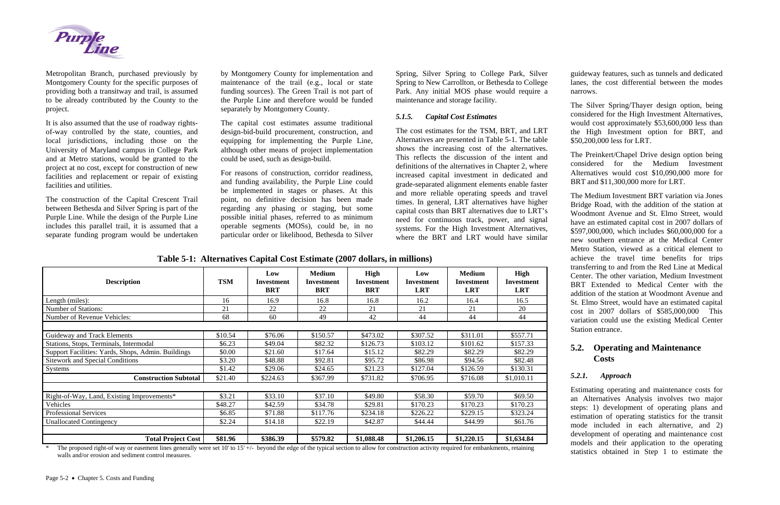

Metropolitan Branch, purchased previously by Montgomery County for the specific purposes of providing both a transitway and trail, is assumed to be already contributed by the County to the project.

It is also assumed that the use of roadway rightsof-way controlled by the state, counties, and local jurisdictions, including those on the University of Maryland campus in College Park and at Metro stations, would be granted to the project at no cost, except for construction of new facilities and replacement or repair of existing facilities and utilities.

The construction of the Capital Crescent Trail between Bethesda and Silver Spring is part of the Purple Line. While the design of the Purple Line includes this parallel trail, it is assumed that a separate funding program would be undertaken

by Montgomery County for implementation and maintenance of the trail (e.g., local or state funding sources). The Green Trail is not part of the Purple Line and therefore would be funded separately by Montgomery County.

The capital cost estimates assume traditional design-bid-build procurement, construction, and equipping for implementing the Purple Line, although other means of project implementation could be used, such as design-build.

For reasons of construction, corridor readiness, and funding availability, the Purple Line could be implemented in stages or phases. At this point, no definitive decision has been made regarding any phasing or staging, but some possible initial phases, referred to as minimum operable segments (MOSs), could be, in no particular order or likelihood, Bethesda to Silver Spring, Silver Spring to College Park, Silver Spring to New Carrollton, or Bethesda to College Park. Any initial MOS phase would require a maintenance and storage facility.

#### *5.1.5.Capital Cost Estimates*

The cost estimates for the TSM, BRT, and LRT Alternatives are presented in Table 5-1. The table shows the increasing cost of the alternatives. This reflects the discussion of the intent and definitions of the alternatives in Chapter 2, where increased capital investment in dedicated and grade-separated alignment elements enable faster and more reliable operating speeds and travel times. In general, LRT alternatives have higher capital costs than BRT alternatives due to LRT's need for continuous track, power, and signal systems. For the High Investment Alternatives, where the BRT and LRT would have similar

guideway features, such as tunnels and dedicated lanes, the cost differential between the modes narrows.

The Silver Spring/Thayer design option, being considered for the High Investment Alternatives, would cost approximately \$53,600,000 less than the High Investment option for BRT, and \$50,200,000 less for LRT.

The proposed right-of way or easement lines generally were set 10' to 15' +/- beyond the edge of the typical section to allow for construction activity required for embankments, retaining walls and/or erosion and sediment control measures.

The Preinkert/Chapel Drive design option being considered for the Medium Investment Alternatives would cost \$10,090,000 more for BRT and \$11,300,000 more for LRT.

The Medium Investment BRT variation via Jones Bridge Road, with the addition of the station at Woodmont Avenue and St. Elmo Street, would have an estimated capital cost in 2007 dollars of \$597,000,000, which includes \$60,000,000 for a new southern entrance at the Medical Center Metro Station, viewed as a critical element to achieve the travel time benefits for trips transferring to and from the Red Line at Medical Center. The other variation, Medium Investment BRT Extended to Medical Center with the addition of the station at Woodmont Avenue and St. Elmo Street, would have an estimated capital cost in 2007 dollars of \$585,000,000 This variation could use the existing Medical Center Station entrance.

# **5.2. Operating and Maintenance Costs**

#### *5.2.1.Approach*

Estimating operating and maintenance costs for an Alternatives Analysis involves two major steps: 1) development of operating plans and estimation of operating statistics for the transit mode included in each alternative, and 2) development of operating and maintenance cost models and their application to the operating statistics obtained in Step 1 to estimate the

| <b>Description</b>                                 | <b>TSM</b> | Low<br>Investment<br><b>BRT</b> | <b>Medium</b><br>Investment<br><b>BRT</b> | <b>High</b><br><b>Investment</b><br><b>BRT</b> | Low<br>Investment<br><b>LRT</b> | <b>Medium</b><br>Investment<br><b>LRT</b> | <b>High</b><br><b>Investment</b><br><b>LRT</b> |
|----------------------------------------------------|------------|---------------------------------|-------------------------------------------|------------------------------------------------|---------------------------------|-------------------------------------------|------------------------------------------------|
| Length (miles):                                    | 16         | 16.9                            | 16.8                                      | 16.8                                           | 16.2                            | 16.4                                      | 16.5                                           |
| <b>Number of Stations:</b>                         | 21         | 22                              | 22                                        | 21                                             | 21                              | 21                                        | 20                                             |
| Number of Revenue Vehicles:                        | 68         | 60                              | 49                                        | 42                                             | 44                              | 44                                        | 44                                             |
|                                                    |            |                                 |                                           |                                                |                                 |                                           |                                                |
| Guideway and Track Elements                        | \$10.54    | \$76.06                         | \$150.57                                  | \$473.02                                       | \$307.52                        | \$311.01                                  | \$557.71                                       |
| Stations, Stops, Terminals, Intermodal             | \$6.23     | \$49.04                         | \$82.32                                   | \$126.73                                       | \$103.12                        | \$101.62                                  | \$157.33                                       |
| Support Facilities: Yards, Shops, Admin. Buildings | \$0.00     | \$21.60                         | \$17.64                                   | \$15.12                                        | \$82.29                         | \$82.29                                   | \$82.29                                        |
| <b>Sitework and Special Conditions</b>             | \$3.20     | \$48.88                         | \$92.81                                   | \$95.72                                        | \$86.98                         | \$94.56                                   | \$82.48                                        |
| <b>Systems</b>                                     | \$1.42     | \$29.06                         | \$24.65                                   | \$21.23                                        | \$127.04                        | \$126.59                                  | \$130.31                                       |
| <b>Construction Subtotal</b>                       | \$21.40    | \$224.63                        | \$367.99                                  | \$731.82                                       | \$706.95                        | \$716.08                                  | \$1,010.11                                     |
|                                                    |            |                                 |                                           |                                                |                                 |                                           |                                                |
| Right-of-Way, Land, Existing Improvements*         | \$3.21     | \$33.10                         | \$37.10                                   | \$49.80                                        | \$58.30                         | \$59.70                                   | \$69.50                                        |
| Vehicles                                           | \$48.27    | \$42.59                         | \$34.78                                   | \$29.81                                        | \$170.23                        | \$170.23                                  | \$170.23                                       |
| <b>Professional Services</b>                       | \$6.85     | \$71.88                         | \$117.76                                  | \$234.18                                       | \$226.22                        | \$229.15                                  | \$323.24                                       |
| <b>Unallocated Contingency</b>                     | \$2.24     | \$14.18                         | \$22.19                                   | \$42.87                                        | \$44.44                         | \$44.99                                   | \$61.76                                        |
| <b>Total Project Cost</b>                          | \$81.96    | \$386.39                        | \$579.82                                  | \$1,088.48                                     | \$1,206.15                      | \$1,220.15                                | \$1,634.84                                     |

**Table 5-1: Alternatives Capital Cost Estimate (2007 dollars, in millions)**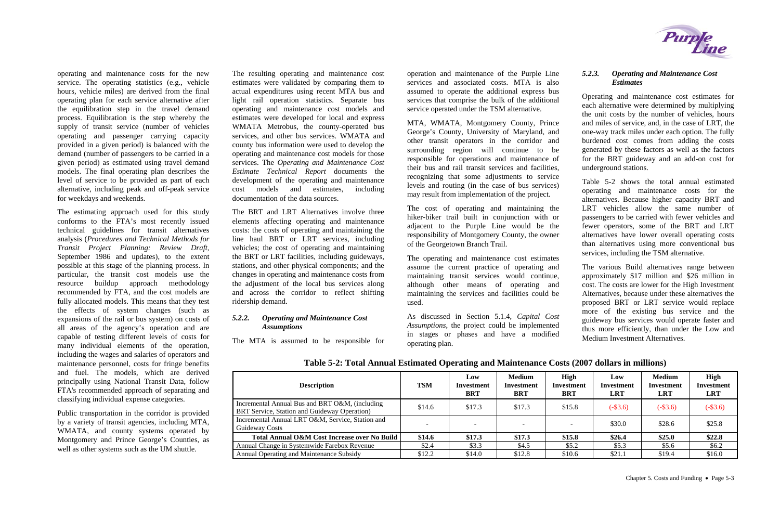operating and maintenance costs for the new service. The operating statistics (e.g., vehicle hours, vehicle miles) are derived from the final operating plan for each service alternative after the equilibration step in the travel demand process. Equilibration is the step whereby the supply of transit service (number of vehicles operating and passenger carrying capacity provided in a given period) is balanced with the demand (number of passengers to be carried in a given period) as estimated using travel demand models. The final operating plan describes the level of service to be provided as part of each alternative, including peak and off-peak service for weekdays and weekends.

The estimating approach used for this study conforms to the FTA's most recently issued technical guidelines for transit alternatives analysis (*Procedures and Technical Methods for Transit Project Planning: Review Draft,* September 1986 and updates), to the extent possible at this stage of the planning process. In particular, the transit cost models use the resource buildup approach methodology recommended by FTA, and the cost models are fully allocated models. This means that they test the effects of system changes (such as expansions of the rail or bus system) on costs of all areas of the agency's operation and are capable of testing different levels of costs for many individual elements of the operation, including the wages and salaries of operators and maintenance personnel, costs for fringe benefits and fuel. The models, which are derived principally using National Transit Data, follow FTA's recommended approach of separating and classifying individual expense categories.

<span id="page-2-0"></span>Public transportation in the corridor is provided by a variety of transit agencies, including MTA, WMATA, and county systems operated by Montgomery and Prince George's Counties, as well as other systems such as the UM shuttle.

The resulting operating and maintenance cost estimates were validated by comparing them to actual expenditures using recent MTA bus and light rail operation statistics. Separate bus operating and maintenance cost models and estimates were developed for local and express WMATA Metrobus, the county-operated bus services, and other bus services. WMATA and county bus information were used to develop the operating and maintenance cost models for those services. The *Operating and Maintenance Cost Estimate Technical Report* documents the development of the operating and maintenance cost models and estimates, including documentation of the data sources.

The BRT and LRT Alternatives involve three elements affecting operating and maintenance costs: the costs of operating and maintaining the line haul BRT or LRT services, including vehicles; the cost of operating and maintaining the BRT or LRT facilities, including guideways, stations, and other physical components; and the changes in operating and maintenance costs from the adjustment of the local bus services along and across the corridor to reflect shifting ridership demand.

### *5.2.2. Operating and Maintenance Cost Assumptions*

The MTA is assumed to be responsible for

operation and maintenance of the Purple Line services and associated costs. MTA is also assumed to operate the additional express bus services that comprise the bulk of the additional service operated under the TSM alternative.

MTA, WMATA, Montgomery County, Prince George's County, University of Maryland, and other transit operators in the corridor and surrounding region will continue to be responsible for operations and maintenance of their bus and rail transit services and facilities, recognizing that some adjustments to service levels and routing (in the case of bus services) may result from implementation of the project.

The cost of operating and maintaining the hiker-biker trail built in conjunction with or adjacent to the Purple Line would be the responsibility of Montgomery County, the owner of the Georgetown Branch Trail.

The operating and maintenance cost estimates assume the current practice of operating and maintaining transit services would continue, although other means of operating and maintaining the services and facilities could be used.

As discussed in Section 5.1.4, *Capital Cost Assumptions*, the project could be implemented in stages or phases and have a modified operating plan.

### *5.2.3. Operating and Maintenance Cost Estimates*

Operating and maintenance cost estimates for each alternative were determined by multiplying the unit costs by the number of vehicles, hours and miles of service, and, in the case of LRT, the one-way track miles under each option. The fully burdened cost comes from adding the costs generated by these factors as well as the factors for the BRT guideway and an add-on cost for underground stations.

[Table 5-2](#page-2-0) shows the total annual estimated operating and maintenance costs for the alternatives. Because higher capacity BRT and LRT vehicles allow the same number of passengers to be carried with fewer vehicles and fewer operators, some of the BRT and LRT alternatives have lower overall operating costs than alternatives using more conventional bus services, including the TSM alternative.

The various Build alternatives range between approximately \$17 million and \$26 million in cost. The costs are lower for the High Investment Alternatives, because under these alternatives the proposed BRT or LRT service would replace more of the existing bus service and the guideway bus services would operate faster and thus more efficiently, than under the Low and Medium Investment Alternatives.

### **Table 5-2: Total Annual Estimated Operating and Maintenance Costs (2007 dollars in millions)**



| <b>Description</b>                                                                                    | <b>TSM</b> | Low<br>Investment<br>BRT | <b>Medium</b><br>Investment<br><b>BRT</b> | <b>High</b><br>Investment<br><b>BRT</b> | Low<br><b>Investment</b><br><b>LRT</b> | <b>Medium</b><br>Investment<br><b>LRT</b> | High<br><b>Investment</b><br><b>LRT</b> |
|-------------------------------------------------------------------------------------------------------|------------|--------------------------|-------------------------------------------|-----------------------------------------|----------------------------------------|-------------------------------------------|-----------------------------------------|
| Incremental Annual Bus and BRT O&M, (including<br><b>BRT</b> Service, Station and Guideway Operation) | \$14.6     | \$17.3                   | \$17.3                                    | \$15.8                                  | $(-\$3.6)$                             | $(-\$3.6)$                                | $(-\$3.6)$                              |
| Incremental Annual LRT O&M, Service, Station and<br><b>Guideway Costs</b>                             |            |                          | $\overline{\phantom{0}}$                  |                                         | \$30.0                                 | \$28.6                                    | \$25.8                                  |
| Total Annual O&M Cost Increase over No Build                                                          | \$14.6     | \$17.3                   | \$17.3                                    | \$15.8                                  | \$26.4                                 | \$25.0                                    | \$22.8                                  |
| Annual Change in Systemwide Farebox Revenue                                                           | \$2.4      | \$3.3                    | \$4.5                                     | \$5.2\$                                 | \$5.3                                  | \$5.6                                     | \$6.2\$                                 |
| Annual Operating and Maintenance Subsidy                                                              | \$12.2     | \$14.0                   | \$12.8                                    | \$10.6                                  | \$21.1                                 | \$19.4                                    | \$16.0                                  |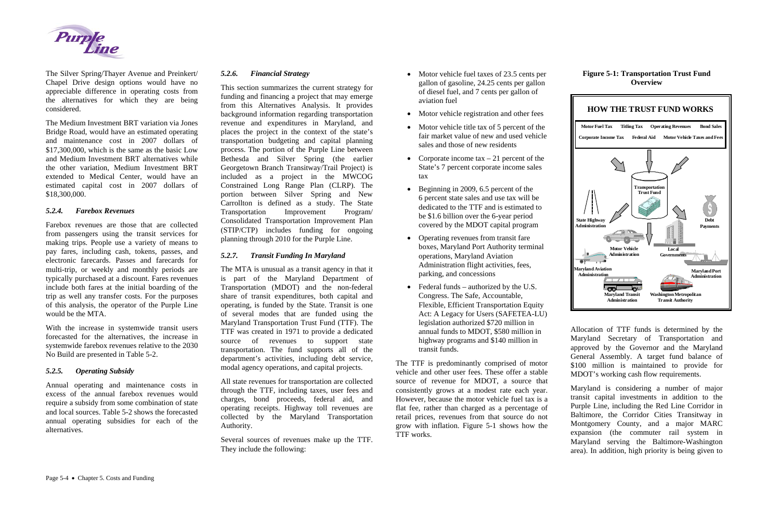

The Silver Spring/Thayer Avenue and Preinkert/ Chapel Drive design options would have no appreciable difference in operating costs from the alternatives for which they are being considered.

The Medium Investment BRT variation via Jones Bridge Road, would have an estimated operating and maintenance cost in 2007 dollars of \$17,300,000, which is the same as the basic Low and Medium Investment BRT alternatives while the other variation, Medium Investment BRT extended to Medical Center, would have an estimated capital cost in 2007 dollars of \$18,300,000.

### *5.2.4. Farebox Revenues*

Farebox revenues are those that are collected from passengers using the transit services for making trips. People use a variety of means to pay fares, including cash, tokens, passes, and electronic farecards. Passes and farecards for multi-trip, or weekly and monthly periods are typically purchased at a discount. Fares revenues include both fares at the initial boarding of the trip as well any transfer costs. For the purposes of this analysis, the operator of the Purple Line would be the MTA.

With the increase in systemwide transit users forecasted for the alternatives, the increase in systemwide farebox revenues relative to the 2030 No Build are presented in Table 5-2.

#### *5.2.5.Operating Subsidy*

Annual operating and maintenance costs in excess of the annual farebox revenues would require a subsidy from some combination of state and local sources. [Table 5-2](#page-2-0) shows the forecasted annual operating subsidies for each of the alternatives.

#### *5.2.6.Financial Strategy*

This section summarizes the current strategy for funding and financing a project that may emerge from this Alternatives Analysis. It provides background information regarding transportation revenue and expenditures in Maryland, and places the project in the context of the state's transportation budgeting and capital planning process. The portion of the Purple Line between Bethesda and Silver Spring (the earlier Georgetown Branch Transitway/Trail Project) is included as a project in the MWCOG Constrained Long Range Plan (CLRP). The portion between Silver Spring and New Carrollton is defined as a study. The State Transportation Improvement Program/ Consolidated Transportation Improvement Plan (STIP/CTP) includes funding for ongoing planning through 2010 for the Purple Line.

### *5.2.7. Transit Funding In Maryland*

The MTA is unusual as a transit agency in that it is part of the Maryland Department of Transportation (MDOT) and the non-federal share of transit expenditures, both capital and operating, is funded by the State. Transit is one of several modes that are funded using the Maryland Transportation Trust Fund (TTF). The TTF was created in 1971 to provide a dedicated source of revenues to support state transportation. The fund supports all of the department's activities, including debt service, modal agency operations, and capital projects.

All state revenues for transportation are collected through the TTF, including taxes, user fees and charges, bond proceeds, federal aid, and operating receipts. Highway toll revenues are collected by the Maryland Transportation Authority.

Several sources of revenues make up the TTF. They include the following:

- Motor vehicle fuel taxes of 23.5 cents per gallon of gasoline, 24.25 cents per gallon of diesel fuel, and 7 cents per gallon of aviation fuel
- Motor vehicle registration and other fees
- Motor vehicle title tax of 5 percent of the fair market value of new and used vehicle sales and those of new residents
- Corporate income tax  $-21$  percent of the State's 7 percent corporate income sales tax
- Beginning in 2009, 6.5 percent of the 6 percent state sales and use tax will be dedicated to the TTF and is estimated to be \$1.6 billion over the 6-year period covered by the MDOT capital program
- Operating revenues from transit fare boxes, Maryland Port Authority terminal operations, Maryland Aviation Administration flight activities, fees, parking, and concessions
- Federal funds authorized by the U.S. Congress. The Safe, Accountable, Flexible, Efficient Transportation Equity Act: A Legacy for Users (SAFETEA-LU) legislation authorized \$720 million in annual funds to MDOT, \$580 million in highway programs and \$140 million in transit funds.

The TTF is predominantly comprised of motor vehicle and other user fees. These offer a stable source of revenue for MDOT, a source that consistently grows at a modest rate each year. However, because the motor vehicle fuel tax is a flat fee, rather than charged as a percentage of retail prices, revenues from that source do not grow with inflation. Figure 5-1 shows how the TTF works.

### **Figure 5-1: Transportation Trust Fund Overview**



Allocation of TTF funds is determined by the Maryland Secretary of Transportation and approved by the Governor and the Maryland General Assembly. A target fund balance of \$100 million is maintained to provide for MDOT's working cash flow requirements.

Maryland is considering a number of major transit capital investments in addition to the Purple Line, including the Red Line Corridor in Baltimore, the Corridor Cities Transitway in Montgomery County, and a major MARC expansion (the commuter rail system in Maryland serving the Baltimore-Washington area). In addition, high priority is being given to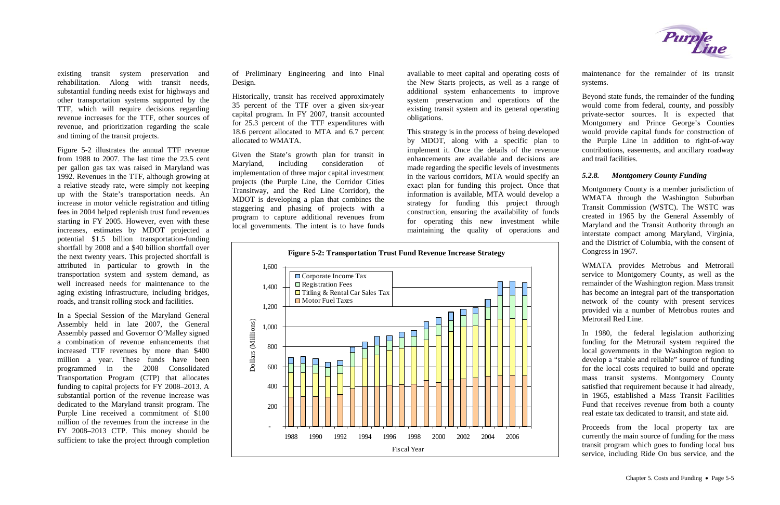existing transit system preservation and rehabilitation. Along with transit needs, substantial funding needs exist for highways and other transportation systems supported by the TTF, which will require decisions regarding revenue increases for the TTF, other sources of revenue, and prioritization regarding the scale and timing of the transit projects.

Figure 5-2 illustrates the annual TTF revenue from 1988 to 2007. The last time the 23.5 cent per gallon gas tax was raised in Maryland was 1992. Revenues in the TTF, although growing at a relative steady rate, were simply not keeping up with the State's transportation needs. An increase in motor vehicle registration and titling fees in 2004 helped replenish trust fund revenues starting in FY 2005. However, even with these increases, estimates by MDOT projected a potential \$1.5 billion transportation-funding shortfall by 2008 and a \$40 billion shortfall over the next twenty years. This projected shortfall is attributed in particular to growth in the transportation system and system demand, as well increased needs for maintenance to the aging existing infrastructure, including bridges, roads, and transit rolling stock and facilities.

In a Special Session of the Maryland General Assembly held in late 2007, the General Assembly passed and Governor O'Malley signed a combination of revenue enhancements that increased TTF revenues by more than \$400 million a year. These funds have been programmed in the 2008 Consolidated Transportation Program (CTP) that allocates funding to capital projects for FY 2008–2013. A substantial portion of the revenue increase was dedicated to the Maryland transit program. The Purple Line received a commitment of \$100 million of the revenues from the increase in the FY 2008–2013 CTP. This money should be sufficient to take the project through completion of Preliminary Engineering and into Final Design.

Historically, transit has received approximately 35 percent of the TTF over a given six-year capital program. In FY 2007, transit accounted for 25.3 percent of the TTF expenditures with 18.6 percent allocated to MTA and 6.7 percent allocated to WMATA.

Given the State's growth plan for transit in Maryland, including consideration of implementation of three major capital investment projects (the Purple Line, the Corridor Cities Transitway, and the Red Line Corridor), the MDOT is developing a plan that combines the staggering and phasing of projects with a program to capture additional revenues from local governments. The intent is to have funds

available to meet capital and operating costs of the New Starts projects, as well as a range of additional system enhancements to improve system preservation and operations of the existing transit system and its general operating obligations.

This strategy is in the process of being developed by MDOT, along with a specific plan to implement it. Once the details of the revenue enhancements are available and decisions are made regarding the specific levels of investments in the various corridors, MTA would specify an exact plan for funding this project. Once that information is available, MTA would develop a strategy for funding this project through construction, ensuring the availability of funds for operating this new investment while maintaining the quality of operations and

maintenance for the remainder of its transit systems.

Beyond state funds, the remainder of the funding would come from federal, county, and possibly private-sector sources. It is expected that Montgomery and Prince George's Counties would provide capital funds for construction of the Purple Line in addition to right-of-way contributions, easements, and ancillary roadway and trail facilities.

#### *5.2.8.Montgomery County Funding*

Montgomery County is a member jurisdiction of WMATA through the Washington Suburban Transit Commission (WSTC). The WSTC was created in 1965 by the General Assembly of Maryland and the Transit Authority through an interstate compact among Maryland, Virginia, and the District of Columbia, with the consent of





WMATA provides Metrobus and Metrorail service to Montgomery County, as well as the remainder of the Washington region. Mass transit has become an integral part of the transportation network of the county with present services provided via a number of Metrobus routes and Metrorail Red Line.

In 1980, the federal legislation authorizing funding for the Metrorail system required the local governments in the Washington region to develop a "stable and reliable" source of funding for the local costs required to build and operate mass transit systems. Montgomery County satisfied that requirement because it had already, in 1965, established a Mass Transit Facilities Fund that receives revenue from both a county real estate tax dedicated to transit, and state aid.

Proceeds from the local property tax are currently the main source of funding for the mass transit program which goes to funding local bus service, including Ride On bus service, and the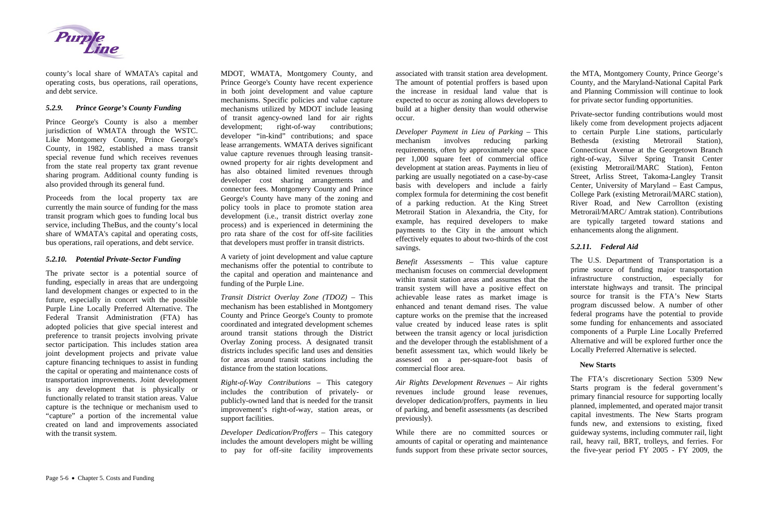

county's local share of WMATA's capital and operating costs, bus operations, rail operations, and debt service.

#### *5.2.9.Prince George's County Funding*

Prince George's County is also a member jurisdiction of WMATA through the WSTC. Like Montgomery County, Prince George's County, in 1982, established a mass transit special revenue fund which receives revenues from the state real property tax grant revenue sharing program. Additional county funding is also provided through its general fund.

Proceeds from the local property tax are currently the main source of funding for the mass transit program which goes to funding local bus service, including TheBus, and the county's local share of WMATA's capital and operating costs, bus operations, rail operations, and debt service.

### *5.2.10. Potential Private-Sector Funding*

The private sector is a potential source of funding, especially in areas that are undergoing land development changes or expected to in the future, especially in concert with the possible Purple Line Locally Preferred Alternative. The Federal Transit Administration (FTA) has adopted policies that give special interest and preference to transit projects involving private sector participation. This includes station area joint development projects and private value capture financing techniques to assist in funding the capital or operating and maintenance costs of transportation improvements. Joint development is any development that is physically or functionally related to transit station areas. Value capture is the technique or mechanism used to "capture" a portion of the incremental value created on land and improvements associated with the transit system.

*Right-of-Way Contributions* – This category includes the contribution of privately- or publicly-owned land that is needed for the transit improvement's right-of-way, station areas, or support facilities.

MDOT, WMATA, Montgomery County, and Prince George's County have recent experience in both joint development and value capture mechanisms. Specific policies and value capture mechanisms utilized by MDOT include leasing of transit agency-owned land for air rights development; right-of-way contributions; developer "in-kind" contributions; and space lease arrangements. WMATA derives significant value capture revenues through leasing transitowned property for air rights development and has also obtained limited revenues through developer cost sharing arrangements and connector fees. Montgomery County and Prince George's County have many of the zoning and policy tools in place to promote station area development (i.e., transit district overlay zone process) and is experienced in determining the pro rata share of the cost for off-site facilities that developers must proffer in transit districts.

A variety of joint development and value capture mechanisms offer the potential to contribute to the capital and operation and maintenance and funding of the Purple Line.

*Transit District Overlay Zone (TDOZ)* – This mechanism has been established in Montgomery County and Prince George's County to promote coordinated and integrated development schemes around transit stations through the District Overlay Zoning process. A designated transit districts includes specific land uses and densities for areas around transit stations including the distance from the station locations.

*Developer Dedication/Proffers* – This category includes the amount developers might be willing to pay for off-site facility improvements associated with transit station area development. The amount of potential proffers is based upon the increase in residual land value that is expected to occur as zoning allows developers to build at a higher density than would otherwise occur.

*Developer Payment in Lieu of Parking* – This mechanism involves reducing parking requirements, often by approximately one space per 1,000 square feet of commercial office development at station areas. Payments in lieu of parking are usually negotiated on a case-by-case basis with developers and include a fairly complex formula for determining the cost benefit of a parking reduction. At the King Street Metrorail Station in Alexandria, the City, for example, has required developers to make payments to the City in the amount which effectively equates to about two-thirds of the cost savings.

*Benefit Assessments* – This value capture mechanism focuses on commercial development within transit station areas and assumes that the transit system will have a positive effect on achievable lease rates as market image is enhanced and tenant demand rises. The value capture works on the premise that the increased value created by induced lease rates is split between the transit agency or local jurisdiction and the developer through the establishment of a benefit assessment tax, which would likely be assessed on a per-square-foot basis of commercial floor area.

*Air Rights Development Revenues* – Air rights revenues include ground lease revenues, developer dedication/proffers, payments in lieu of parking, and benefit assessments (as described previously).

While there are no committed sources or amounts of capital or operating and maintenance funds support from these private sector sources, the MTA, Montgomery County, Prince George's County, and the Maryland-National Capital Park and Planning Commission will continue to look for private sector funding opportunities.

Private-sector funding contributions would most likely come from development projects adjacent to certain Purple Line stations, particularly Bethesda (existing Metrorail Station), Connecticut Avenue at the Georgetown Branch right-of-way, Silver Spring Transit Center (existing Metrorail/MARC Station), Fenton Street, Arliss Street, Takoma-Langley Transit Center, University of Maryland – East Campus, College Park (existing Metrorail/MARC station), River Road, and New Carrollton (existing Metrorail/MARC/ Amtrak station). Contributions are typically targeted toward stations and enhancements along the alignment.

### *5.2.11. Federal Aid*

The U.S. Department of Transportation is a prime source of funding major transportation infrastructure construction, especially for interstate highways and transit. The principal source for transit is the FTA's New Starts program discussed below. A number of other federal programs have the potential to provide some funding for enhancements and associated components of a Purple Line Locally Preferred Alternative and will be explored further once the Locally Preferred Alternative is selected.

### **New Starts**

The FTA's discretionary Section 5309 New Starts program is the federal government's primary financial resource for supporting locally planned, implemented, and operated major transit capital investments. The New Starts program funds new, and extensions to existing, fixed guideway systems, including commuter rail, light rail, heavy rail, BRT, trolleys, and ferries. For the five-year period FY 2005 - FY 2009, the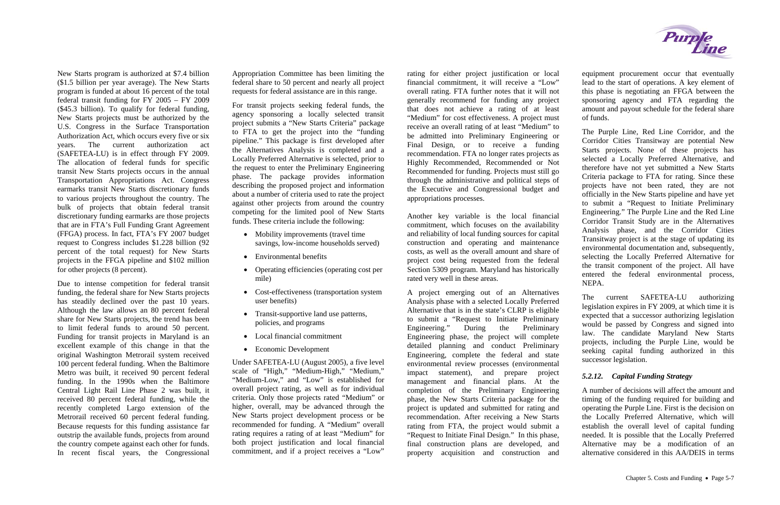New Starts program is authorized at \$7.4 billion (\$1.5 billion per year average). The New Starts program is funded at about 16 percent of the total federal transit funding for FY 2005 – FY 2009 (\$45.3 billion). To qualify for federal funding, New Starts projects must be authorized by the U.S. Congress in the Surface Transportation Authorization Act, which occurs every five or six years. The current authorization act (SAFETEA-LU) is in effect through FY 2009. The allocation of federal funds for specific transit New Starts projects occurs in the annual Transportation Appropriations Act. Congress earmarks transit New Starts discretionary funds to various projects throughout the country. The bulk of projects that obtain federal transit discretionary funding earmarks are those projects that are in FTA's Full Funding Grant Agreement (FFGA) process. In fact, FTA's FY 2007 budget request to Congress includes \$1.228 billion (92 percent of the total request) for New Starts projects in the FFGA pipeline and \$102 million for other projects (8 percent).

Due to intense competition for federal transit funding, the federal share for New Starts projects has steadily declined over the past 10 years. Although the law allows an 80 percent federal share for New Starts projects, the trend has been to limit federal funds to around 50 percent. Funding for transit projects in Maryland is an excellent example of this change in that the original Washington Metrorail system received 100 percent federal funding. When the Baltimore Metro was built, it received 90 percent federal funding. In the 1990s when the Baltimore Central Light Rail Line Phase 2 was built, it received 80 percent federal funding, while the recently completed Largo extension of the Metrorail received 60 percent federal funding. Because requests for this funding assistance far outstrip the available funds, projects from around the country compete against each other for funds. In recent fiscal years, the Congressional

- Mobility improvements (travel time savings, low-income households served)
- Environmental benefits
- Operating efficiencies (operating cost per mile)
- Cost-effectiveness (transportation system user benefits)
- Transit-supportive land use patterns, policies, and programs
- Local financial commitment
- Economic Development

Appropriation Committee has been limiting the federal share to 50 percent and nearly all project requests for federal assistance are in this range.

For transit projects seeking federal funds, the agency sponsoring a locally selected transit project submits a "New Starts Criteria" package to FTA to get the project into the "funding pipeline." This package is first developed after the Alternatives Analysis is completed and a Locally Preferred Alternative is selected, prior to the request to enter the Preliminary Engineering phase. The package provides information describing the proposed project and information about a number of criteria used to rate the project against other projects from around the country competing for the limited pool of New Starts funds. These criteria include the following:

Under SAFETEA-LU (August 2005), a five level scale of "High," "Medium-High," "Medium," "Medium-Low," and "Low" is established for overall project rating, as well as for individual criteria. Only those projects rated "Medium" or higher, overall, may be advanced through the New Starts project development process or be recommended for funding. A "Medium" overall rating requires a rating of at least "Medium" for both project justification and local financial commitment, and if a project receives a "Low"

rating for either project justification or local financial commitment, it will receive a "Low" overall rating. FTA further notes that it will not generally recommend for funding any project that does not achieve a rating of at least "Medium" for cost effectiveness. A project must receive an overall rating of at least "Medium" to be admitted into Preliminary Engineering or Final Design, or to receive a funding recommendation. FTA no longer rates projects as Highly Recommended, Recommended or Not Recommended for funding. Projects must still go through the administrative and political steps of the Executive and Congressional budget and appropriations processes.

Another key variable is the local financial commitment, which focuses on the availability and reliability of local funding sources for capital construction and operating and maintenance costs, as well as the overall amount and share of project cost being requested from the federal Section 5309 program. Maryland has historically rated very well in these areas.

A project emerging out of an Alternatives Analysis phase with a selected Locally Preferred Alternative that is in the state's CLRP is eligible to submit a "Request to Initiate Preliminary Engineering." During the Preliminary Engineering phase, the project will complete detailed planning and conduct Preliminary Engineering, complete the federal and state environmental review processes (environmental impact statement), and prepare project management and financial plans. At the completion of the Preliminary Engineering phase, the New Starts Criteria package for the project is updated and submitted for rating and recommendation. After receiving a New Starts rating from FTA, the project would submit a "Request to Initiate Final Design." In this phase, final construction plans are developed, and property acquisition and construction and

**Purple**<br>Line

equipment procurement occur that eventually lead to the start of operations. A key element of this phase is negotiating an FFGA between the sponsoring agency and FTA regarding the amount and payout schedule for the federal share of funds.

The Purple Line, Red Line Corridor, and the Corridor Cities Transitway are potential New Starts projects. None of these projects has selected a Locally Preferred Alternative, and therefore have not yet submitted a New Starts Criteria package to FTA for rating. Since these projects have not been rated, they are not officially in the New Starts pipeline and have yet to submit a "Request to Initiate Preliminary Engineering." The Purple Line and the Red Line Corridor Transit Study are in the Alternatives Analysis phase, and the Corridor Cities Transitway project is at the stage of updating its environmental documentation and, subsequently, selecting the Locally Preferred Alternative for the transit component of the project. All have entered the federal environmental process, NEPA.

The current SAFETEA-LU authorizing legislation expires in FY 2009, at which time it is expected that a successor authorizing legislation would be passed by Congress and signed into law. The candidate Maryland New Starts projects, including the Purple Line, would be seeking capital funding authorized in this successor legislation.

## *5.2.12. Capital Funding Strategy*

A number of decisions will affect the amount and timing of the funding required for building and operating the Purple Line. First is the decision on the Locally Preferred Alternative, which will establish the overall level of capital funding needed. It is possible that the Locally Preferred Alternative may be a modification of an alternative considered in this AA/DEIS in terms